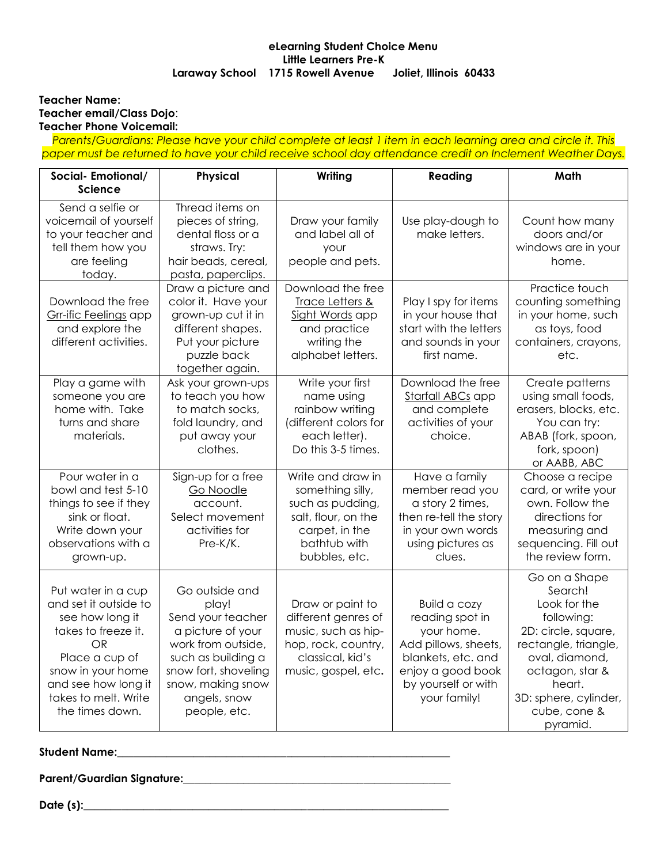## **eLearning Student Choice Menu Little Learners Pre-K Laraway School 1715 Rowell Avenue Joliet, Illinois 60433**

#### **Teacher Name: Teacher email/Class Dojo**: **Teacher Phone Voicemail:**

*Parents/Guardians: Please have your child complete at least 1 item in each learning area and circle it. This paper must be returned to have your child receive school day attendance credit on Inclement Weather Days.*

| Social-Emotional/<br><b>Science</b>                                                                                                                                                                         | <b>Physical</b>                                                                                                                                                                            | Writing                                                                                                                             | Reading                                                                                                                                                        | Math                                                                                                                                                                                                      |
|-------------------------------------------------------------------------------------------------------------------------------------------------------------------------------------------------------------|--------------------------------------------------------------------------------------------------------------------------------------------------------------------------------------------|-------------------------------------------------------------------------------------------------------------------------------------|----------------------------------------------------------------------------------------------------------------------------------------------------------------|-----------------------------------------------------------------------------------------------------------------------------------------------------------------------------------------------------------|
| Send a selfie or<br>voicemail of yourself<br>to your teacher and<br>tell them how you<br>are feeling<br>today.                                                                                              | Thread items on<br>pieces of string,<br>dental floss or a<br>straws. Try:<br>hair beads, cereal,<br>pasta, paperclips.                                                                     | Draw your family<br>and label all of<br>your<br>people and pets.                                                                    | Use play-dough to<br>make letters.                                                                                                                             | Count how many<br>doors and/or<br>windows are in your<br>home.                                                                                                                                            |
| Download the free<br>Grr-ific Feelings app<br>and explore the<br>different activities.                                                                                                                      | Draw a picture and<br>color it. Have your<br>grown-up cut it in<br>different shapes.<br>Put your picture<br>puzzle back<br>together again.                                                 | Download the free<br>Trace Letters &<br>Sight Words app<br>and practice<br>writing the<br>alphabet letters.                         | Play I spy for items<br>in your house that<br>start with the letters<br>and sounds in your<br>first name.                                                      | Practice touch<br>counting something<br>in your home, such<br>as toys, food<br>containers, crayons,<br>etc.                                                                                               |
| Play a game with<br>someone you are<br>home with. Take<br>turns and share<br>materials.                                                                                                                     | Ask your grown-ups<br>to teach you how<br>to match socks,<br>fold laundry, and<br>put away your<br>clothes.                                                                                | Write your first<br>name using<br>rainbow writing<br>(different colors for<br>each letter).<br>Do this 3-5 times.                   | Download the free<br>Starfall ABCs app<br>and complete<br>activities of your<br>choice.                                                                        | Create patterns<br>using small foods,<br>erasers, blocks, etc.<br>You can try:<br>ABAB (fork, spoon,<br>fork, spoon)<br>or AABB, ABC                                                                      |
| Pour water in a<br>bowl and test 5-10<br>things to see if they<br>sink or float.<br>Write down your<br>observations with a<br>grown-up.                                                                     | Sign-up for a free<br>Go Noodle<br>account.<br>Select movement<br>activities for<br>Pre-K/K.                                                                                               | Write and draw in<br>something silly,<br>such as pudding,<br>salt, flour, on the<br>carpet, in the<br>bathtub with<br>bubbles, etc. | Have a family<br>member read you<br>a story 2 times,<br>then re-tell the story<br>in your own words<br>using pictures as<br>clues.                             | Choose a recipe<br>card, or write your<br>own. Follow the<br>directions for<br>measuring and<br>sequencing. Fill out<br>the review form.                                                                  |
| Put water in a cup<br>and set it outside to<br>see how long it<br>takes to freeze it.<br><b>OR</b><br>Place a cup of<br>snow in your home<br>and see how long it<br>takes to melt. Write<br>the times down. | Go outside and<br>play!<br>Send your teacher<br>a picture of your<br>work from outside,<br>such as building a<br>snow fort, shoveling<br>snow, making snow<br>angels, snow<br>people, etc. | Draw or paint to<br>different genres of<br>music, such as hip-<br>hop, rock, country,<br>classical, kid's<br>music, gospel, etc.    | <b>Build a cozy</b><br>reading spot in<br>your home.<br>Add pillows, sheets,<br>blankets, etc. and<br>enjoy a good book<br>by yourself or with<br>your family! | Go on a Shape<br>Search!<br>Look for the<br>following:<br>2D: circle, square,<br>rectangle, triangle,<br>oval, diamond,<br>octagon, star &<br>heart.<br>3D: sphere, cylinder,<br>cube, cone &<br>pyramid. |

# **Student Name:\_\_\_\_\_\_\_\_\_\_\_\_\_\_\_\_\_\_\_\_\_\_\_\_\_\_\_\_\_\_\_\_\_\_\_\_\_\_\_\_\_\_\_\_\_\_\_\_\_\_\_\_\_\_\_\_\_\_\_\_\_**

Parent/Guardian Signature: **Material Science of Australian Science of Australian Science of Australian Science** 

**Date** (s):